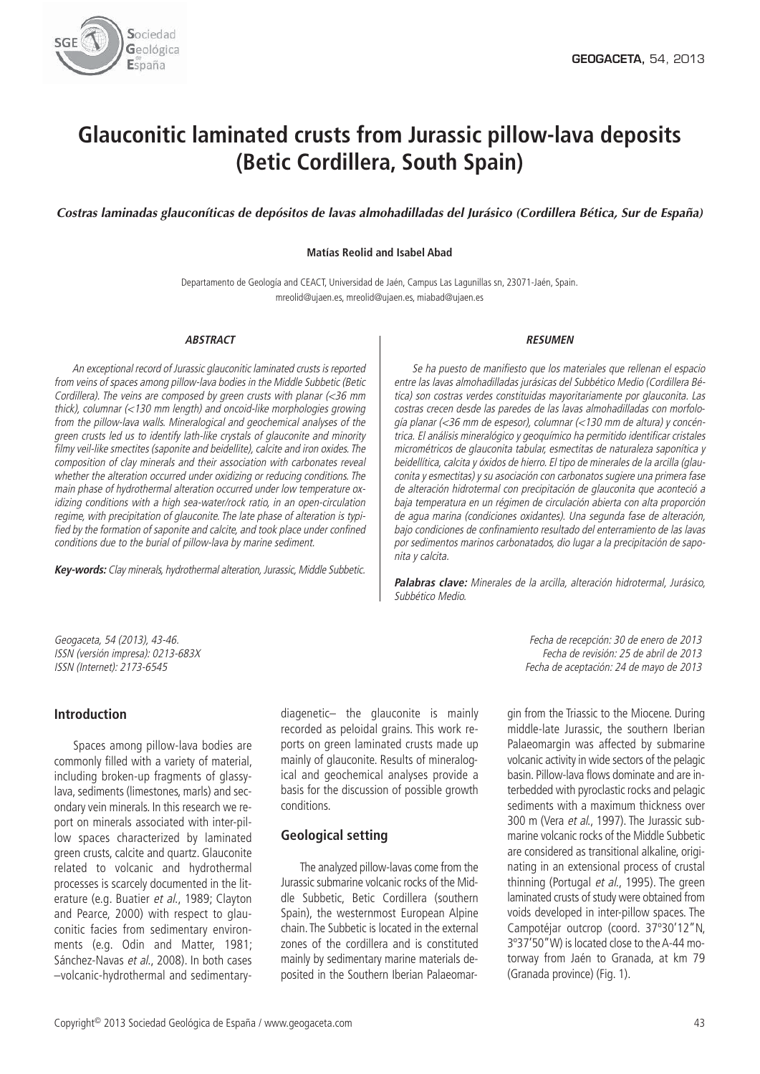

# **Glauconitic laminated crusts from Jurassic pillow-lava deposits (Betic Cordillera, South Spain)**

*Costras laminadas glauconíticas de depósitos de lavas almohadilladas del Jurásico (Cordillera Bética, Sur de España)*

### **Matías Reolid and Isabel Abad**

Departamento de Geología and CEACT, Universidad de Jaén, Campus Las Lagunillas sn, 23071-Jaén, Spain. mreolid@ujaen.es, mreolid@ujaen.es, miabad@ujaen.es

#### **ABSTRACT**

An exceptional record of Jurassic glauconitic laminated crusts is reported from veins of spaces among pillow-lava bodies in the Middle Subbetic (Betic Cordillera). The veins are composed by green crusts with planar (<36 mm thick), columnar (<130 mm length) and oncoid-like morphologies growing from the pillow-lava walls. Mineralogical and geochemical analyses of the green crusts led us to identify lath-like crystals of glauconite and minority filmy veil-like smectites (saponite and beidellite), calcite and iron oxides. The composition of clay minerals and their association with carbonates reveal whether the alteration occurred under oxidizing or reducing conditions. The main phase of hydrothermal alteration occurred under low temperature oxidizing conditions with <sup>a</sup> high sea-water/rock ratio, in an open-circulation regime, with precipitation of glauconite. The late phase of alteration is typified by the formation of saponite and calcite, and took place under confined conditions due to the burial of pillow-lava by marine sediment.

Key-words: Clay minerals, hydrothermal alteration, Jurassic, Middle Subbetic.

#### **RESUMEN**

Se ha puesto de manifiesto que los materiales que rellenan el espacio entre las lavas almohadilladas jurásicas del Subbético Medio (Cordillera Bética) son costras verdes constituidas mayoritariamente por glauconita. Las costras crecen desde las paredes de las lavas almohadilladas con morfología planar (<36 mm de espesor), columnar (<130 mm de altura) y concéntrica. El análisis mineralógico y geoquímico ha permitido identificar cristales micrométricos de glauconita tabular, esmectitas de naturaleza saponítica y beidellítica, calcita y óxidos de hierro. El tipo de minerales de la arcilla (glauconita y esmectitas) y su asociación con carbonatos sugiere una primera fase de alteración hidrotermal con precipitación de glauconita que aconteció <sup>a</sup> baja temperatura en un régimen de circulación abierta con alta proporción de agua marina (condiciones oxidantes). Una segunda fase de alteración, bajo condiciones de confinamiento resultado del enterramiento de las lavas por sedimentos marinos carbonatados, dio lugar <sup>a</sup> la precipitación de saponita y calcita.

**Palabras clave:** Minerales de la arcilla, alteración hidrotermal, Jurásico, Subbético Medio.

# **Introduction**

Spaces among pillow-lava bodies are commonly filled with a variety of material, including broken-up fragments of glassylava, sediments (limestones, marls) and secondary vein minerals. In this research we report on minerals associated with inter-pillow spaces characterized by laminated green crusts, calcite and quartz. Glauconite related to volcanic and hydrothermal processes is scarcely documented in the literature (e.g. Buatier et al., 1989; Clayton and Pearce, 2000) with respect to glauconitic facies from sedimentary environments (e.g. Odin and Matter, 1981; Sánchez-Navas et al., 2008). In both cases –volcanic-hydrothermal and sedimentarydiagenetic– the glauconite is mainly recorded as peloidal grains. This work reports on green laminated crusts made up mainly of glauconite. Results of mineralogical and geochemical analyses provide a basis for the discussion of possible growth conditions.

# **Geological setting**

The analyzed pillow-lavas come from the Jurassic submarine volcanic rocks of the Middle Subbetic, Betic Cordillera (southern Spain), the westernmost European Alpine chain. The Subbetic is located in the external zones of the cordillera and is constituted mainly by sedimentary marine materials deposited in the Southern Iberian Palaeomar-

Geogaceta, 54 (2013), 43-46. Fecha de recepción: 30 de enero de 2013 ISSN (versión impresa): 0213-683X Fecha de revisión: 25 de abril de 2013 Fecha de aceptación: 24 de mayo de 2013

> gin from the Triassic to the Miocene. During middle-late Jurassic, the southern Iberian Palaeomargin was affected by submarine volcanic activity in wide sectors of the pelagic basin. Pillow-lava flows dominate and are interbedded with pyroclastic rocks and pelagic sediments with a maximum thickness over 300 m (Vera et al., 1997). The Jurassic submarine volcanic rocks of the Middle Subbetic are considered as transitional alkaline, originating in an extensional process of crustal thinning (Portugal et al., 1995). The green laminated crusts of study were obtained from voids developed in inter-pillow spaces. The Campotéjar outcrop (coord. 37º30'12"N, 3º37'50"W) is located close to the A-44 motorway from Jaén to Granada, at km 79 (Granada province) (Fig. 1).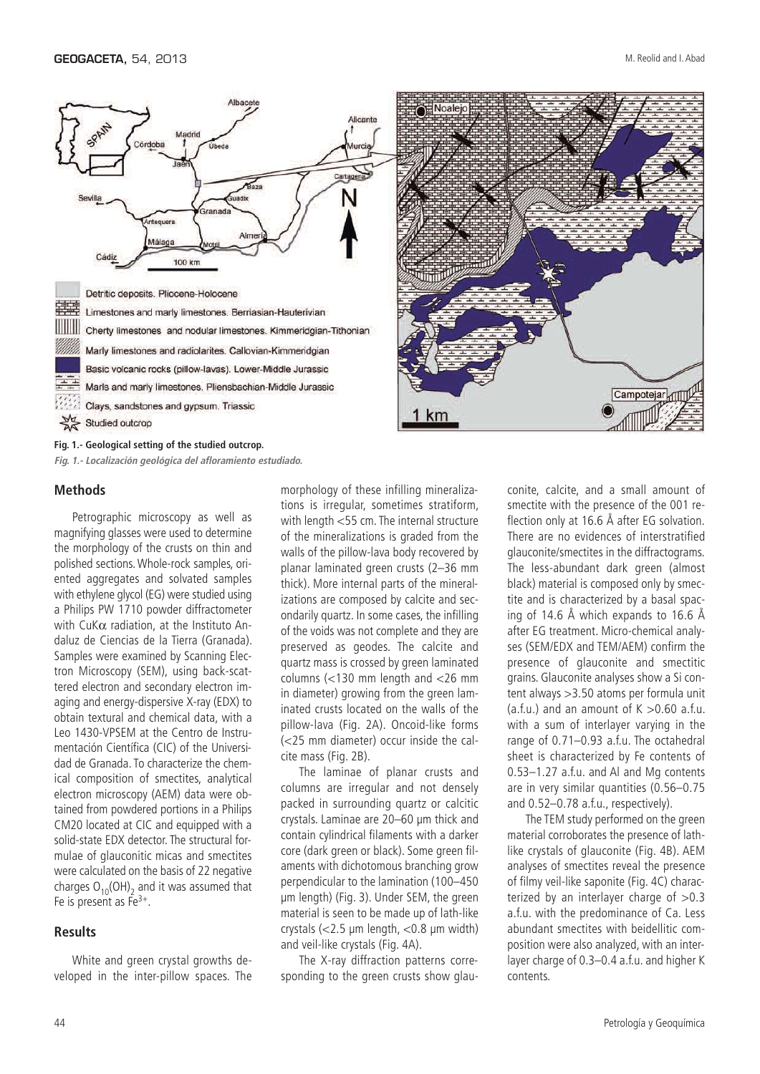



## **Methods**

Petrographic microscopy as well as magnifying glasses were used to determine the morphology of the crusts on thin and polished sections. Whole-rock samples, oriented aggregates and solvated samples with ethylene glycol (EG) were studied using a Philips PW 1710 powder diffractometer with CuKα radiation, at the Instituto Andaluz de Ciencias de la Tierra (Granada). Samples were examined by Scanning Electron Microscopy (SEM), using back-scattered electron and secondary electron imaging and energy-dispersive X-ray (EDX) to obtain textural and chemical data, with a Leo 1430-VPSEM at the Centro de Instrumentación Científica (CIC) of the Universidad de Granada. To characterize the chemical composition of smectites, analytical electron microscopy (AEM) data were obtained from powdered portions in a Philips CM20 located at CIC and equipped with a solid-state EDX detector. The structural formulae of glauconitic micas and smectites were calculated on the basis of 22 negative charges  $O_{10}(OH)$ <sub>2</sub> and it was assumed that Fe is present as  $Fe^{3+}$ .

**Fig. 1.- Localización geológica del afloramiento estudiado.**

# **Results**

White and green crystal growths developed in the inter-pillow spaces. The

morphology of these infilling mineralizations is irregular, sometimes stratiform, with length <55 cm. The internal structure of the mineralizations is graded from the walls of the pillow-lava body recovered by planar laminated green crusts (2–36 mm thick). More internal parts of the mineralizations are composed by calcite and secondarily quartz. In some cases, the infilling of the voids was not complete and they are preserved as geodes. The calcite and quartz mass is crossed by green laminated columns (<130 mm length and <26 mm in diameter) growing from the green laminated crusts located on the walls of the pillow-lava (Fig. 2A). Oncoid-like forms (<25 mm diameter) occur inside the calcite mass (Fig. 2B).

The laminae of planar crusts and columns are irregular and not densely packed in surrounding quartz or calcitic crystals. Laminae are 20–60 μm thick and contain cylindrical filaments with a darker core (dark green or black). Some green filaments with dichotomous branching grow perpendicular to the lamination (100–450 μm length) (Fig. 3). Under SEM, the green material is seen to be made up of lath-like crystals (<2.5 μm length, <0.8 μm width) and veil-like crystals (Fig. 4A).

The X-ray diffraction patterns corresponding to the green crusts show glau-

conite, calcite, and a small amount of smectite with the presence of the 001 reflection only at 16.6 Å after EG solvation. There are no evidences of interstratified glauconite/smectites in the diffractograms. The less-abundant dark green (almost black) material is composed only by smectite and is characterized by a basal spacing of 14.6 Å which expands to 16.6 Å after EG treatment. Micro-chemical analyses (SEM/EDX and TEM/AEM) confirm the presence of glauconite and smectitic grains. Glauconite analyses show a Si content always >3.50 atoms per formula unit (a.f.u.) and an amount of  $K > 0.60$  a.f.u. with a sum of interlayer varying in the range of 0.71–0.93 a.f.u. The octahedral sheet is characterized by Fe contents of 0.53–1.27 a.f.u. and Al and Mg contents are in very similar quantities (0.56–0.75 and 0.52–0.78 a.f.u., respectively).

The TEM study performed on the green material corroborates the presence of lathlike crystals of glauconite (Fig. 4B). AEM analyses of smectites reveal the presence of filmy veil-like saponite (Fig. 4C) characterized by an interlayer charge of  $>0.3$ a.f.u. with the predominance of Ca. Less abundant smectites with beidellitic composition were also analyzed, with an interlayer charge of 0.3–0.4 a.f.u. and higher K contents.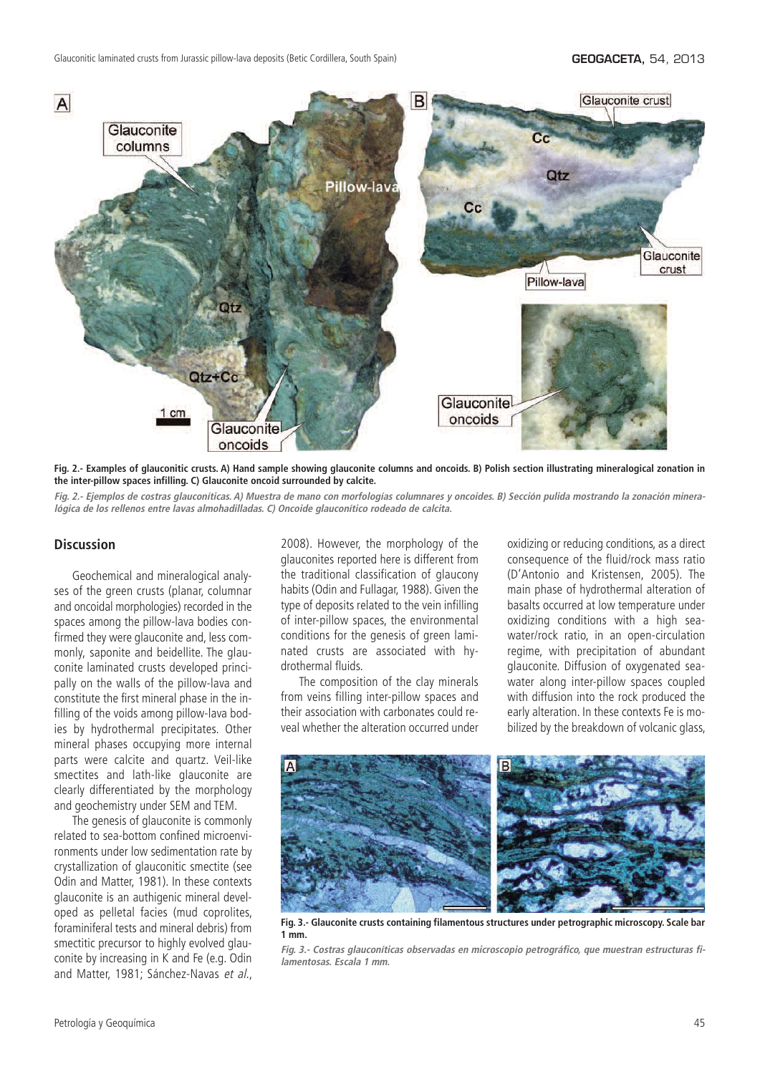

**Fig. 2.- Examples of glauconitic crusts. A) Hand sample showing glauconite columns and oncoids. B) Polish section illustrating mineralogical zonation in the inter-pillow spaces infilling. C) Glauconite oncoid surrounded by calcite.**

Fig. 2.- Ejemplos de costras glauconíticas. A) Muestra de mano con morfologías columnares y oncoides. B) Sección pulida mostrando la zonación mineralógica de los rellenos entre lavas almohadilladas. C) Oncoide glauconítico rodeado de calcita.

# **Discussion**

Geochemical and mineralogical analyses of the green crusts (planar, columnar and oncoidal morphologies) recorded in the spaces among the pillow-lava bodies confirmed they were glauconite and, less commonly, saponite and beidellite. The glauconite laminated crusts developed principally on the walls of the pillow-lava and constitute the first mineral phase in the infilling of the voids among pillow-lava bodies by hydrothermal precipitates. Other mineral phases occupying more internal parts were calcite and quartz. Veil-like smectites and lath-like glauconite are clearly differentiated by the morphology and geochemistry under SEM and TEM.

The genesis of glauconite is commonly related to sea-bottom confined microenvironments under low sedimentation rate by crystallization of glauconitic smectite (see Odin and Matter, 1981). In these contexts glauconite is an authigenic mineral developed as pelletal facies (mud coprolites, foraminiferal tests and mineral debris) from smectitic precursor to highly evolved glauconite by increasing in K and Fe (e.g. Odin and Matter, 1981; Sánchez-Navas et al., 2008). However, the morphology of the glauconites reported here is different from the traditional classification of glaucony habits (Odin and Fullagar, 1988). Given the type of deposits related to the vein infilling of inter-pillow spaces, the environmental conditions for the genesis of green laminated crusts are associated with hydrothermal fluids.

The composition of the clay minerals from veins filling inter-pillow spaces and their association with carbonates could reveal whether the alteration occurred under oxidizing or reducing conditions, as a direct consequence of the fluid/rock mass ratio (D'Antonio and Kristensen, 2005). The main phase of hydrothermal alteration of basalts occurred at low temperature under oxidizing conditions with a high seawater/rock ratio, in an open-circulation regime, with precipitation of abundant glauconite. Diffusion of oxygenated seawater along inter-pillow spaces coupled with diffusion into the rock produced the early alteration. In these contexts Fe is mobilized by the breakdown of volcanic glass,



**Fig. 3.- Glauconite crusts containing filamentous structures under petrographic microscopy. Scale bar 1 mm.**

Fig. 3.- Costras glauconíticas observadas en microscopio petrográfico, que muestran estructuras fi**lamentosas. Escala 1 mm.**